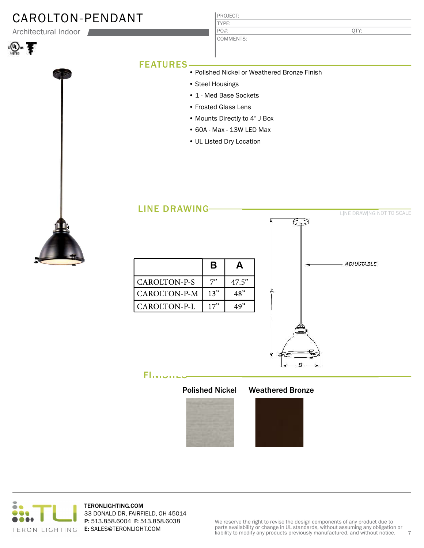## CAROLTON-PENDANT

Architectural Indoor





| PROJECT:  |  |
|-----------|--|
| TYPE:     |  |
| $PO#$ :   |  |
| COMMENTS: |  |

QTY:

### FEATURES

- Polished Nickel or Weathered Bronze Finish
	- Steel Housings
	- 1 Med Base Sockets

- Frosted Glass Lens
- Mounts Directly to 4" J Box
- 60A Max 13W LED Max
- UL Listed Dry Location



| <b>LINE DRAWING-</b> |     |       | E o s                                   | LINE DRAWING NOT TO SCALE |
|----------------------|-----|-------|-----------------------------------------|---------------------------|
|                      | B   | A     |                                         | ADJUSTABLE                |
| CAROLTON-P-S         | 7"  | 47.5" |                                         |                           |
| CAROLTON-P-M         | 13" | 48"   | А                                       |                           |
| CAROLTON-P-L         | 17" | 49"   |                                         |                           |
|                      |     |       | в                                       |                           |
| FΙ                   |     |       | <b>Polished Nickel Weathered Bronze</b> |                           |





TERONLIGHTING.COM 33 DONALD DR, FAIRFIELD, OH 45014 P: 513.858.6004 F: 513.858.6038 E: SALES@TERONLIGHT.COM